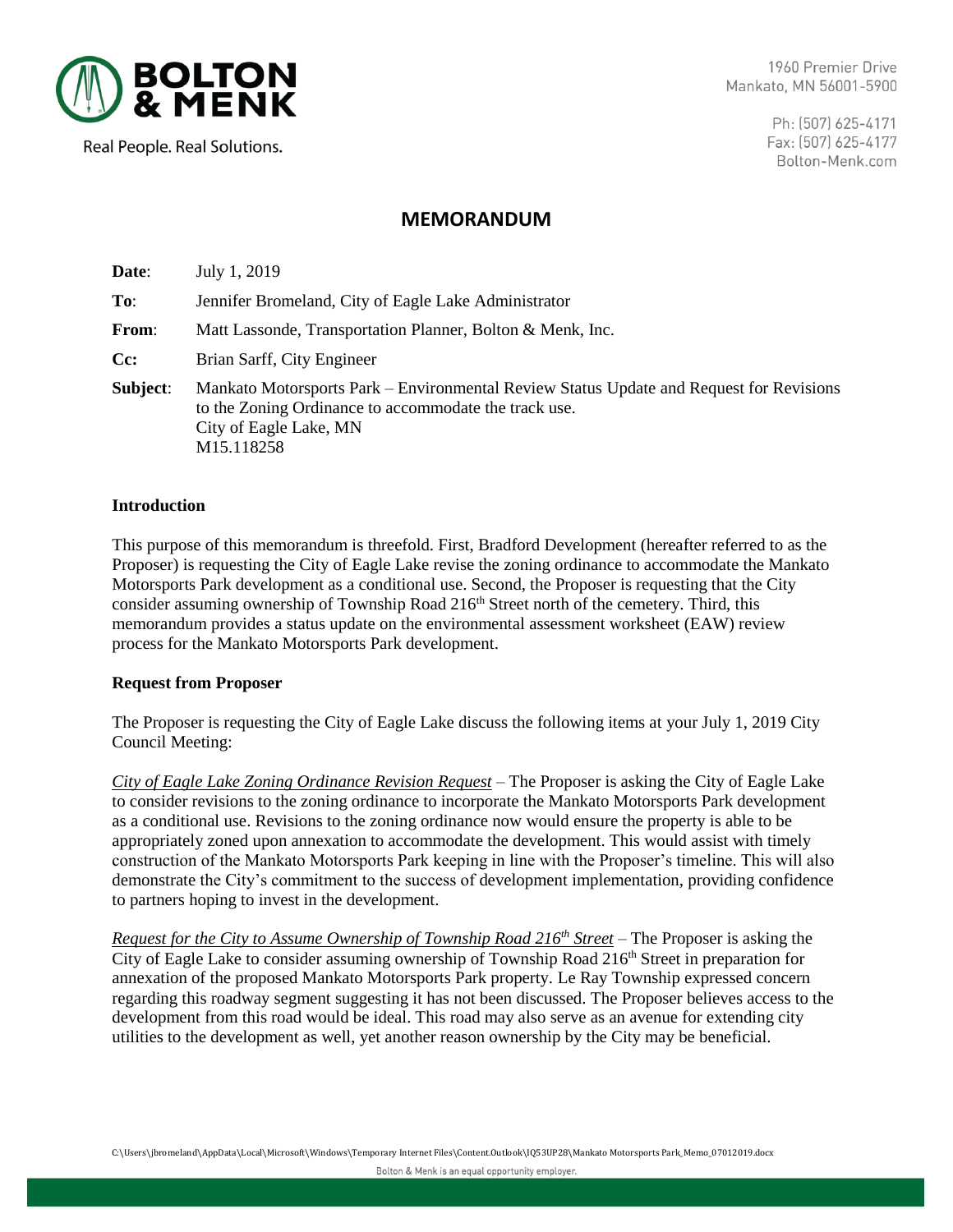

1960 Premier Drive Mankato, MN 56001-5900

Real People. Real Solutions.

Ph: (507) 625-4171 Fax: (507) 625-4177 Bolton-Menk.com

# **MEMORANDUM**

**Date**: July 1, 2019 **To**: Jennifer Bromeland, City of Eagle Lake Administrator **From**: Matt Lassonde, Transportation Planner, Bolton & Menk, Inc. **Cc:** Brian Sarff, City Engineer **Subject**: Mankato Motorsports Park – Environmental Review Status Update and Request for Revisions to the Zoning Ordinance to accommodate the track use. City of Eagle Lake, MN M15.118258

### **Introduction**

This purpose of this memorandum is threefold. First, Bradford Development (hereafter referred to as the Proposer) is requesting the City of Eagle Lake revise the zoning ordinance to accommodate the Mankato Motorsports Park development as a conditional use. Second, the Proposer is requesting that the City consider assuming ownership of Township Road 216<sup>th</sup> Street north of the cemetery. Third, this memorandum provides a status update on the environmental assessment worksheet (EAW) review process for the Mankato Motorsports Park development.

#### **Request from Proposer**

The Proposer is requesting the City of Eagle Lake discuss the following items at your July 1, 2019 City Council Meeting:

*City of Eagle Lake Zoning Ordinance Revision Request –* The Proposer is asking the City of Eagle Lake to consider revisions to the zoning ordinance to incorporate the Mankato Motorsports Park development as a conditional use. Revisions to the zoning ordinance now would ensure the property is able to be appropriately zoned upon annexation to accommodate the development. This would assist with timely construction of the Mankato Motorsports Park keeping in line with the Proposer's timeline. This will also demonstrate the City's commitment to the success of development implementation, providing confidence to partners hoping to invest in the development.

*Request for the City to Assume Ownership of Township Road 216th Street* – The Proposer is asking the City of Eagle Lake to consider assuming ownership of Township Road 216<sup>th</sup> Street in preparation for annexation of the proposed Mankato Motorsports Park property. Le Ray Township expressed concern regarding this roadway segment suggesting it has not been discussed. The Proposer believes access to the development from this road would be ideal. This road may also serve as an avenue for extending city utilities to the development as well, yet another reason ownership by the City may be beneficial.